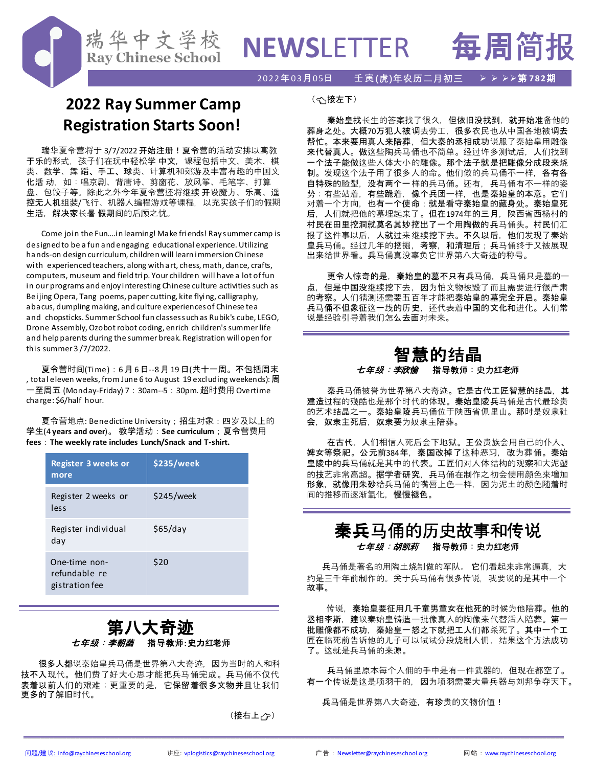#### 2022年03月05日 壬寅**(虎)年农历二月初三** ➢ ➢ ➢➢第 **782**期

# **2022 Ray Summer Camp Registration Starts Soon!**

瑞华中文学校 **Ray Chinese School** 

瑞华夏令营将于 3/7/2022 开始注册!夏令营的活动安排以寓教 干乐的形式, 孩子们在玩中轻松学 中文, 课程包括中文、美术、棋 类、数学、舞 蹈、手工、球类、计算机和郊游及丰富有趣的中国文 化活 动,如:唱京剧、背唐诗、剪窗花、放风筝、毛笔字、打算 盘、包饺子等。除此之外今年夏令营还将继续 开设魔方、乐高、遥 控无人机组装/飞行、机器人编程游戏等课程,以充实孩子们的假期 生活,解决家长暑 假期间的后顾之忧。

Come join the Fun….in learning! Make friends! Ray summer camp is designed to be a fun and engaging educational experience. Utilizing hands-on design curriculum, children will learn immersion Chinese with experienced teachers, along with art, chess, math, dance, crafts, computers, museum and field trip. Your children will have a lot of fun in our programs and enjoy interesting Chinese culture activities such as Beijing Opera, Tang poems, paper cutting, kite flying, calligraphy, abacus, dumpling making, and culture experiences of Chinese tea and chopsticks. Summer School fun classes such as Rubik's cube, LEGO, Drone Assembly, Ozobot robot coding, enrich children's summer life and help parents during the summer break. Registration will open for this summer 3 /7/2022.

夏令营时间(Time):6 月6 日--8 月19 日(共十一周。不包括周末 , total eleven weeks, from June 6 to August 19 excluding weekends): 周 一至周五 (Monday-Friday) 7:30am--5:30pm. 超时费用Overtime charge: \$6/half hour.

夏令营地点: Benedictine University;招生对象:四岁及以上的 学生(4 **years and over**)。 教学活动:**See curriculum**;夏令营费用 **fees**:**The weekly rate includes Lunch/Snack and T-shirt.**

| <b>Register 3 weeks or</b><br>more               | \$235/week |
|--------------------------------------------------|------------|
| Register 2 weeks or<br>less                      | \$245/week |
| Register individual<br>day                       | \$65/day   |
| One-time non-<br>refundable re<br>gistration fee | \$20       |

## 第八大奇迹 七年级:李朝菡 指导教师:史力红老师

很多人都说秦始皇兵马俑是世界第八大奇迹,因为当时的人和科 技不入现代。他们费了好大心思才能把兵马俑完成。兵马俑不仅代 表着以前人们的艰难;更重要的是,它保留着很多文物并且让我们 更多的了解旧时代。

(接右上子)

\_\_\_\_\_\_\_\_\_\_\_\_\_\_\_\_\_\_\_\_\_\_\_\_\_\_\_\_\_\_\_\_\_\_\_\_\_\_\_\_\_\_\_\_\_\_\_\_\_\_\_\_\_\_\_\_\_\_\_\_\_\_\_\_\_\_\_\_\_\_\_\_\_\_\_\_\_\_\_\_\_\_\_\_\_\_\_\_\_\_\_\_\_\_\_\_\_\_\_\_\_\_\_\_\_\_\_\_\_\_\_\_\_\_\_\_\_\_\_\_\_\_\_\_\_

(接左下)

秦始皇找长生的答案找了很久,但依旧没找到,就开始准备他的 葬身之处。大概70万犯人被调去劳工, 很多农民也从中国各地被调去 帮忙。本来要用真人来陪葬,但大秦的丞相成功说服了秦始皇用雕像 来代替真人。做这些陶兵马俑也不简单。经过许多测试后,人们找到 一个法子能做这些人体大小的雕像。那个法子就是把雕像分成段来烧 制。发现这个法子用了很多人的命。他们做的兵马俑不一样,各有各 自特殊的脸型,没有两个一样的兵马俑。还有,兵马俑有不一样的姿 势;有些站着,有些跪着,像个兵团一样,也是秦始皇的本意。它们 对着一个方向,也有一个使命:就是看守秦始皇的藏身处。秦始皇死 后,人们就把他的墓埋起来了。但在1974年的三月,陕西省西杨村的 村民在田里挖洞就莫名其妙挖出了一个用陶做的兵马俑头。村民们汇 报了这件事以后, 人就过来继续挖下去。不久以后, 他们发现了秦始 皇兵马俑。经过几年的挖掘,考察,和清理后;兵马俑终于又被展现 出来给世界看。兵马俑真没辜负它世界第八大奇迹的称号。

更令人惊奇的是,秦始皇的墓不只有兵马俑,兵马俑只是墓的-点,但是中国没继续挖下去,因为怕文物被毁了而且需要进行很严肃 的考察。人们猜测还需要五百年才能把秦始皇的墓完全开启。秦始皇 兵马俑不但象征这一线的历史,还代表着中国的文化和进化。人们常 说是经验引导着我们怎么去面对未来。

## 智慧的结晶 *七年级:李<mark>欣愉* 指</mark>导教师:史力红老师

秦兵马俑被誉为世界第八大奇迹。它是古代工匠智慧的结晶,其 建造过程的残酷也是那个时代的体现。秦始皇陵兵马俑是古代最珍贵 的艺术结晶之一。秦始皇陵兵马俑位于陕西省佩里山。那时是奴隶社 会,奴隶主死后,奴隶要为奴隶主陪葬。

在古代,人们相信人死后会下地狱。王公贵族会用自己的仆人、 婢女等祭祀。公元前384年,秦国改掉了这种恶习,改为葬俑。秦始 皇陵中的兵马俑就是其中的代表。工匠们对人体结构的观察和大泥塑 的技艺非常高超。据学者研究,兵马俑在制作之初会使用颜色来增加 形象,就像用朱砂给兵马俑的嘴唇上色一样,因为泥土的颜色随着时 间的推移而逐渐氧化,慢慢褪色。

## 秦兵马俑的历史故事和传说 七*年级:胡凯莉* 指导教师:史力红老师

兵马俑是著名的用陶土烧制做的军队。 它们看起来非常逼真,大 约是三千年前制作的。关于兵马俑有很多传说,我要说的是其中一个 故事。

传说,秦始皇要征用几千童男童女在他死的时候为他陪葬。他的 丞相李斯,建议秦始皇铸造一批像真人的陶像来代替活人陪葬。第一 批雕像都不成功,秦始皇一怒之下就把工人们都杀死了。其中一个工 匠在临死前告诉他的儿子可以试试分段烧制人佣,结果这个方法成功 了。这就是兵马俑的来源。

兵马俑里原本每个人佣的手中是有一件武器的,但现在都空了。 有一个传说是这是项羽干的,因为项羽需要大量兵器与刘邦争夺天下。

兵马俑是世界第八大奇迹,有珍贵的文物价值!